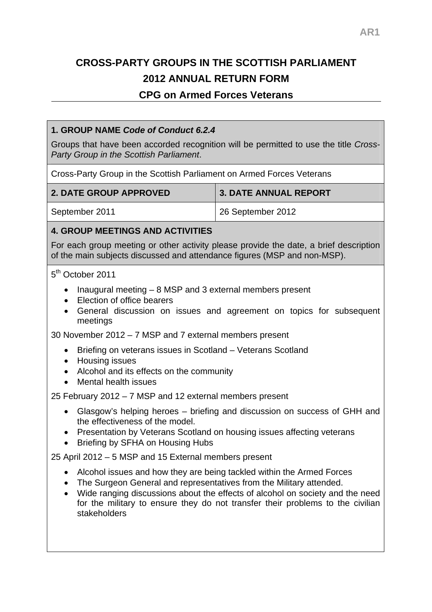# **CROSS-PARTY GROUPS IN THE SCOTTISH PARLIAMENT 2012 ANNUAL RETURN FORM**

# **CPG on Armed Forces Veterans**

### **1. GROUP NAME** *Code of Conduct 6.2.4*

Groups that have been accorded recognition will be permitted to use the title *Cross-Party Group in the Scottish Parliament*.

Cross-Party Group in the Scottish Parliament on Armed Forces Veterans

| <b>2. DATE GROUP APPROVED</b> | 3. DATE ANNUAL REPORT |
|-------------------------------|-----------------------|
| September 2011                | 26 September 2012     |

#### **4. GROUP MEETINGS AND ACTIVITIES**

For each group meeting or other activity please provide the date, a brief description of the main subjects discussed and attendance figures (MSP and non-MSP).

#### 5<sup>th</sup> October 2011

- Inaugural meeting  $-8$  MSP and 3 external members present
- Election of office bearers
- General discussion on issues and agreement on topics for subsequent meetings

30 November 2012 – 7 MSP and 7 external members present

- Briefing on veterans issues in Scotland Veterans Scotland
- Housing issues
- Alcohol and its effects on the community
- Mental health issues

25 February 2012 – 7 MSP and 12 external members present

- Glasgow's helping heroes briefing and discussion on success of GHH and the effectiveness of the model.
- Presentation by Veterans Scotland on housing issues affecting veterans
- Briefing by SFHA on Housing Hubs

25 April 2012 – 5 MSP and 15 External members present

- Alcohol issues and how they are being tackled within the Armed Forces
- The Surgeon General and representatives from the Military attended.
- Wide ranging discussions about the effects of alcohol on society and the need for the military to ensure they do not transfer their problems to the civilian stakeholders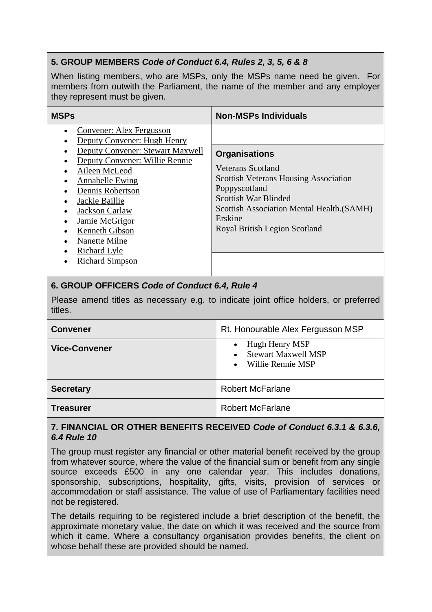# **5. GROUP MEMBERS** *Code of Conduct 6.4, Rules 2, 3, 5, 6 & 8*

When listing members, who are MSPs, only the MSPs name need be given. For members from outwith the Parliament, the name of the member and any employer they represent must be given.

| <b>MSPs</b>                                                                                                                                                                                                                                                                                                                     | <b>Non-MSPs Individuals</b>                                                                                                                                                                                                         |
|---------------------------------------------------------------------------------------------------------------------------------------------------------------------------------------------------------------------------------------------------------------------------------------------------------------------------------|-------------------------------------------------------------------------------------------------------------------------------------------------------------------------------------------------------------------------------------|
| Convener: Alex Fergusson<br>Deputy Convener: Hugh Henry<br>Deputy Convener: Stewart Maxwell<br>Deputy Convener: Willie Rennie<br>Aileen McLeod<br><b>Annabelle Ewing</b><br>Dennis Robertson<br>Jackie Baillie<br>Jackson Carlaw<br>Jamie McGrigor<br>Kenneth Gibson<br>Nanette Milne<br>Richard Lyle<br><b>Richard Simpson</b> | <b>Organisations</b><br>Veterans Scotland<br><b>Scottish Veterans Housing Association</b><br>Poppyscotland<br><b>Scottish War Blinded</b><br>Scottish Association Mental Health. (SAMH)<br>Erskine<br>Royal British Legion Scotland |

## **6. GROUP OFFICERS** *Code of Conduct 6.4, Rule 4*

Please amend titles as necessary e.g. to indicate joint office holders, or preferred titles.

| <b>Convener</b>      | Rt. Honourable Alex Fergusson MSP                                                                        |
|----------------------|----------------------------------------------------------------------------------------------------------|
| <b>Vice-Convener</b> | Hugh Henry MSP<br>$\bullet$<br><b>Stewart Maxwell MSP</b><br>$\bullet$<br>Willie Rennie MSP<br>$\bullet$ |
| <b>Secretary</b>     | <b>Robert McFarlane</b>                                                                                  |
| Treasurer            | <b>Robert McFarlane</b>                                                                                  |

#### **7. FINANCIAL OR OTHER BENEFITS RECEIVED** *Code of Conduct 6.3.1 & 6.3.6, 6.4 Rule 10*

The group must register any financial or other material benefit received by the group from whatever source, where the value of the financial sum or benefit from any single source exceeds £500 in any one calendar year. This includes donations, sponsorship, subscriptions, hospitality, gifts, visits, provision of services or accommodation or staff assistance. The value of use of Parliamentary facilities need not be registered.

The details requiring to be registered include a brief description of the benefit, the approximate monetary value, the date on which it was received and the source from which it came. Where a consultancy organisation provides benefits, the client on whose behalf these are provided should be named.